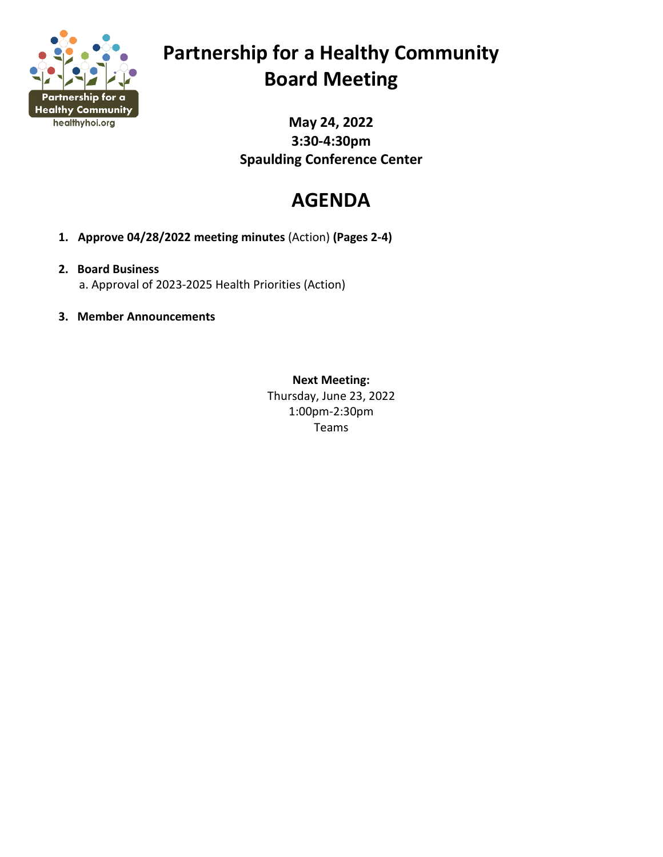

# **Partnership for a Healthy Community Board Meeting**

**May 24, 2022 3:30-4:30pm Spaulding Conference Center**

# **AGENDA**

**1. Approve 04/28/2022 meeting minutes** (Action) **(Pages 2-4)**

# **2. Board Business**

a. Approval of 2023-2025 Health Priorities (Action)

**3. Member Announcements**

**Next Meeting:** Thursday, June 23, 2022 1:00pm-2:30pm Teams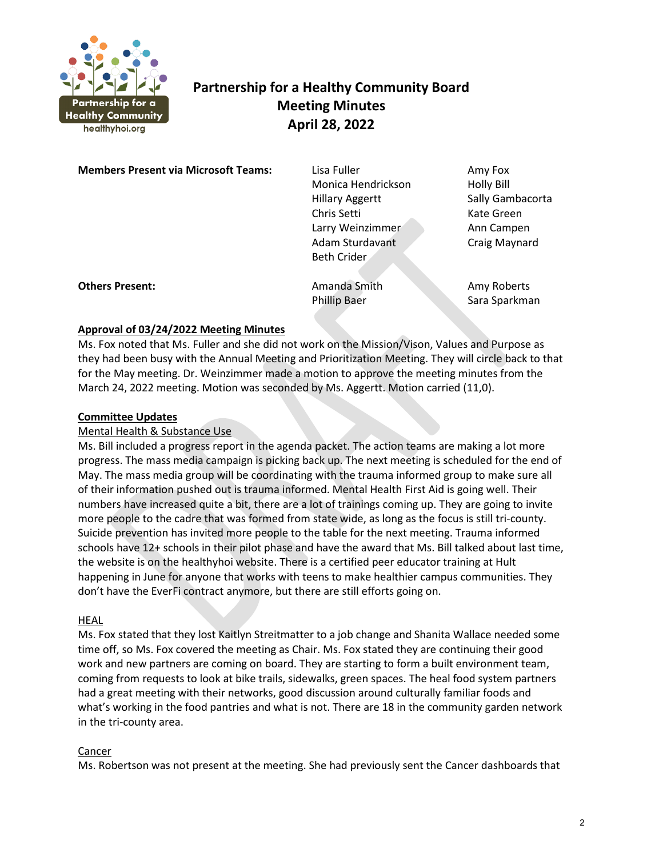

# **Partnership for a Healthy Community Board Meeting Minutes April 28, 2022**

**Members Present via Microsoft Teams:** Lisa Fuller **Amy Fox** Amy Fox

Monica Hendrickson Holly Bill Hillary Aggertt Sally Gambacorta Chris Setti Kate Green Larry Weinzimmer **Ann Campen** Adam Sturdavant Craig Maynard Beth Crider

**Others Present: Amanda Smith Amy Roberts** Amy Roberts

Phillip Baer Sara Sparkman

# **Approval of 03/24/2022 Meeting Minutes**

Ms. Fox noted that Ms. Fuller and she did not work on the Mission/Vison, Values and Purpose as they had been busy with the Annual Meeting and Prioritization Meeting. They will circle back to that for the May meeting. Dr. Weinzimmer made a motion to approve the meeting minutes from the March 24, 2022 meeting. Motion was seconded by Ms. Aggertt. Motion carried (11,0).

# **Committee Updates**

# Mental Health & Substance Use

Ms. Bill included a progress report in the agenda packet. The action teams are making a lot more progress. The mass media campaign is picking back up. The next meeting is scheduled for the end of May. The mass media group will be coordinating with the trauma informed group to make sure all of their information pushed out is trauma informed. Mental Health First Aid is going well. Their numbers have increased quite a bit, there are a lot of trainings coming up. They are going to invite more people to the cadre that was formed from state wide, as long as the focus is still tri-county. Suicide prevention has invited more people to the table for the next meeting. Trauma informed schools have 12+ schools in their pilot phase and have the award that Ms. Bill talked about last time, the website is on the healthyhoi website. There is a certified peer educator training at Hult happening in June for anyone that works with teens to make healthier campus communities. They don't have the EverFi contract anymore, but there are still efforts going on.

## HEAL

Ms. Fox stated that they lost Kaitlyn Streitmatter to a job change and Shanita Wallace needed some time off, so Ms. Fox covered the meeting as Chair. Ms. Fox stated they are continuing their good work and new partners are coming on board. They are starting to form a built environment team, coming from requests to look at bike trails, sidewalks, green spaces. The heal food system partners had a great meeting with their networks, good discussion around culturally familiar foods and what's working in the food pantries and what is not. There are 18 in the community garden network in the tri-county area.

## Cancer

Ms. Robertson was not present at the meeting. She had previously sent the Cancer dashboards that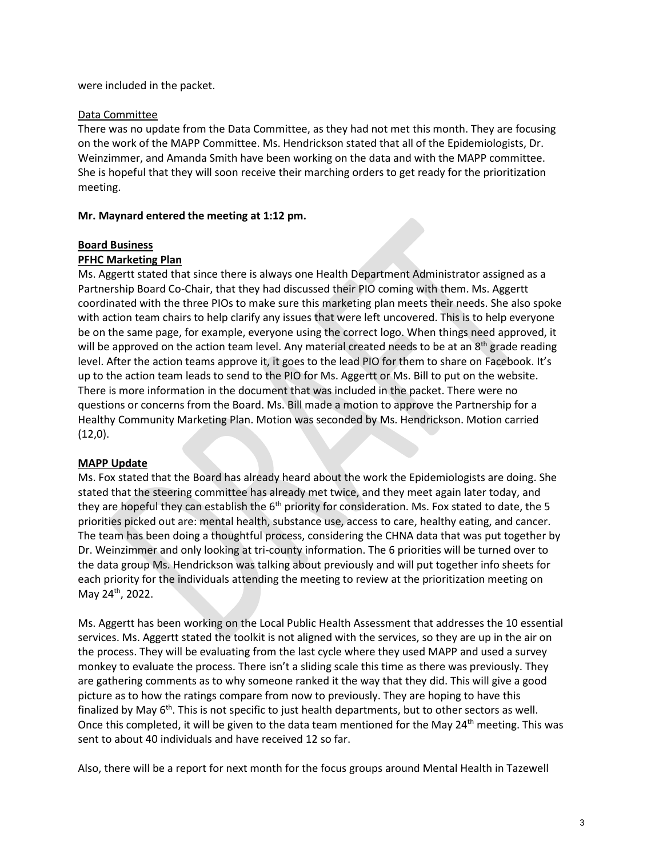were included in the packet.

#### Data Committee

There was no update from the Data Committee, as they had not met this month. They are focusing on the work of the MAPP Committee. Ms. Hendrickson stated that all of the Epidemiologists, Dr. Weinzimmer, and Amanda Smith have been working on the data and with the MAPP committee. She is hopeful that they will soon receive their marching orders to get ready for the prioritization meeting.

#### **Mr. Maynard entered the meeting at 1:12 pm.**

#### **Board Business**

#### **PFHC Marketing Plan**

Ms. Aggertt stated that since there is always one Health Department Administrator assigned as a Partnership Board Co-Chair, that they had discussed their PIO coming with them. Ms. Aggertt coordinated with the three PIOs to make sure this marketing plan meets their needs. She also spoke with action team chairs to help clarify any issues that were left uncovered. This is to help everyone be on the same page, for example, everyone using the correct logo. When things need approved, it will be approved on the action team level. Any material created needs to be at an 8<sup>th</sup> grade reading level. After the action teams approve it, it goes to the lead PIO for them to share on Facebook. It's up to the action team leads to send to the PIO for Ms. Aggertt or Ms. Bill to put on the website. There is more information in the document that was included in the packet. There were no questions or concerns from the Board. Ms. Bill made a motion to approve the Partnership for a Healthy Community Marketing Plan. Motion was seconded by Ms. Hendrickson. Motion carried  $(12,0)$ .

#### **MAPP Update**

Ms. Fox stated that the Board has already heard about the work the Epidemiologists are doing. She stated that the steering committee has already met twice, and they meet again later today, and they are hopeful they can establish the  $6<sup>th</sup>$  priority for consideration. Ms. Fox stated to date, the 5 priorities picked out are: mental health, substance use, access to care, healthy eating, and cancer. The team has been doing a thoughtful process, considering the CHNA data that was put together by Dr. Weinzimmer and only looking at tri-county information. The 6 priorities will be turned over to the data group Ms. Hendrickson was talking about previously and will put together info sheets for each priority for the individuals attending the meeting to review at the prioritization meeting on May 24th, 2022.

Ms. Aggertt has been working on the Local Public Health Assessment that addresses the 10 essential services. Ms. Aggertt stated the toolkit is not aligned with the services, so they are up in the air on the process. They will be evaluating from the last cycle where they used MAPP and used a survey monkey to evaluate the process. There isn't a sliding scale this time as there was previously. They are gathering comments as to why someone ranked it the way that they did. This will give a good picture as to how the ratings compare from now to previously. They are hoping to have this finalized by May  $6<sup>th</sup>$ . This is not specific to just health departments, but to other sectors as well. Once this completed, it will be given to the data team mentioned for the May 24<sup>th</sup> meeting. This was sent to about 40 individuals and have received 12 so far.

Also, there will be a report for next month for the focus groups around Mental Health in Tazewell